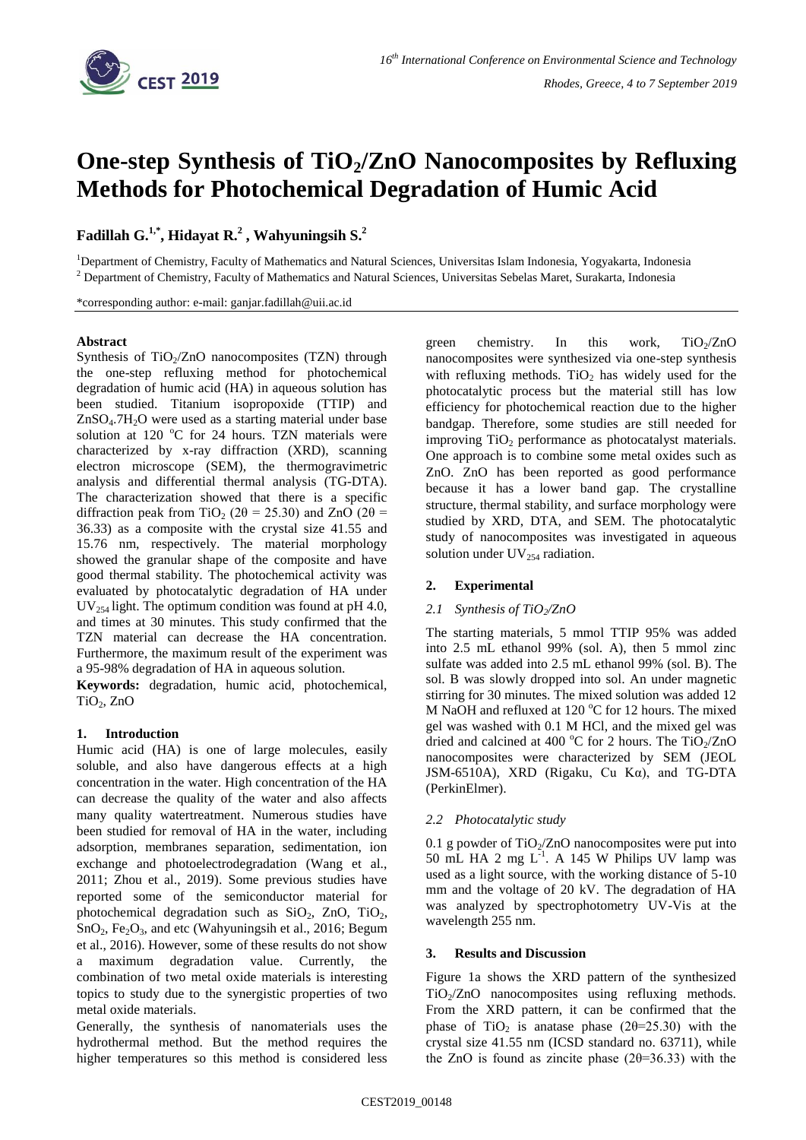

# **One-step Synthesis of TiO2/ZnO Nanocomposites by Refluxing Methods for Photochemical Degradation of Humic Acid**

**Fadillah G. 1,\* , Hidayat R. 2 , Wahyuningsih S. 2**

<sup>1</sup>Department of Chemistry, Faculty of Mathematics and Natural Sciences, Universitas Islam Indonesia, Yogyakarta, Indonesia <sup>2</sup> Department of Chemistry, Faculty of Mathematics and Natural Sciences, Universitas Sebelas Maret, Surakarta, Indonesia

\*corresponding author: e-mail: ganjar.fadillah@uii.ac.id

#### **Abstract**

Synthesis of  $TiO<sub>2</sub>/ZnO$  nanocomposites (TZN) through the one-step refluxing method for photochemical degradation of humic acid (HA) in aqueous solution has been studied. Titanium isopropoxide (TTIP) and  $ZnSO<sub>4</sub>$ .7H<sub>2</sub>O were used as a starting material under base solution at 120  $^{\circ}$ C for 24 hours. TZN materials were characterized by x-ray diffraction (XRD), scanning electron microscope (SEM), the thermogravimetric analysis and differential thermal analysis (TG-DTA). The characterization showed that there is a specific diffraction peak from TiO<sub>2</sub> ( $2\theta = 25.30$ ) and ZnO ( $2\theta =$ 36.33) as a composite with the crystal size 41.55 and 15.76 nm, respectively. The material morphology showed the granular shape of the composite and have good thermal stability. The photochemical activity was evaluated by photocatalytic degradation of HA under  $UV_{254}$  light. The optimum condition was found at pH 4.0, and times at 30 minutes. This study confirmed that the TZN material can decrease the HA concentration. Furthermore, the maximum result of the experiment was a 95-98% degradation of HA in aqueous solution.

**Keywords:** degradation, humic acid, photochemical,  $TiO<sub>2</sub>$ , ZnO

## **1. Introduction**

Humic acid (HA) is one of large molecules, easily soluble, and also have dangerous effects at a high concentration in the water. High concentration of the HA can decrease the quality of the water and also affects many quality watertreatment. Numerous studies have been studied for removal of HA in the water, including adsorption, membranes separation, sedimentation, ion exchange and photoelectrodegradation (Wang et al., 2011; Zhou et al., 2019). Some previous studies have reported some of the semiconductor material for photochemical degradation such as  $SiO<sub>2</sub>$ ,  $ZnO$ ,  $TiO<sub>2</sub>$ ,  $SnO<sub>2</sub>, Fe<sub>2</sub>O<sub>3</sub>$ , and etc (Wahyuningsih et al., 2016; Begum et al., 2016). However, some of these results do not show a maximum degradation value. Currently, the combination of two metal oxide materials is interesting topics to study due to the synergistic properties of two metal oxide materials.

Generally, the synthesis of nanomaterials uses the hydrothermal method. But the method requires the higher temperatures so this method is considered less green chemistry. In this work,  $TiO<sub>2</sub>/ZnO$ nanocomposites were synthesized via one-step synthesis with refluxing methods. TiO<sub>2</sub> has widely used for the photocatalytic process but the material still has low efficiency for photochemical reaction due to the higher bandgap. Therefore, some studies are still needed for improving TiO<sub>2</sub> performance as photocatalyst materials. One approach is to combine some metal oxides such as ZnO. ZnO has been reported as good performance because it has a lower band gap. The crystalline structure, thermal stability, and surface morphology were studied by XRD, DTA, and SEM. The photocatalytic study of nanocomposites was investigated in aqueous solution under  $UV_{254}$  radiation.

## **2. Experimental**

## *2.1 Synthesis of TiO2/ZnO*

The starting materials, 5 mmol TTIP 95% was added into 2.5 mL ethanol 99% (sol. A), then 5 mmol zinc sulfate was added into 2.5 mL ethanol 99% (sol. B). The sol. B was slowly dropped into sol. An under magnetic stirring for 30 minutes. The mixed solution was added 12 M NaOH and refluxed at 120  $^{\circ}$ C for 12 hours. The mixed gel was washed with 0.1 M HCl, and the mixed gel was dried and calcined at 400  $^{\circ}$ C for 2 hours. The TiO<sub>2</sub>/ZnO nanocomposites were characterized by SEM (JEOL JSM-6510A), XRD (Rigaku, Cu Kα), and TG-DTA (PerkinElmer).

## *2.2 Photocatalytic study*

0.1 g powder of  $TiO<sub>2</sub>/ZnO$  nanocomposites were put into 50 mL HA 2 mg  $L^{-1}$ . A 145 W Philips UV lamp was used as a light source, with the working distance of 5-10 mm and the voltage of 20 kV. The degradation of HA was analyzed by spectrophotometry UV-Vis at the wavelength 255 nm.

## **3. Results and Discussion**

Figure 1a shows the XRD pattern of the synthesized  $TiO<sub>2</sub>/ZnO$  nanocomposites using refluxing methods. From the XRD pattern, it can be confirmed that the phase of TiO<sub>2</sub> is anatase phase (2 $\theta$ =25.30) with the crystal size 41.55 nm (ICSD standard no. 63711), while the ZnO is found as zincite phase  $(2\theta=36.33)$  with the